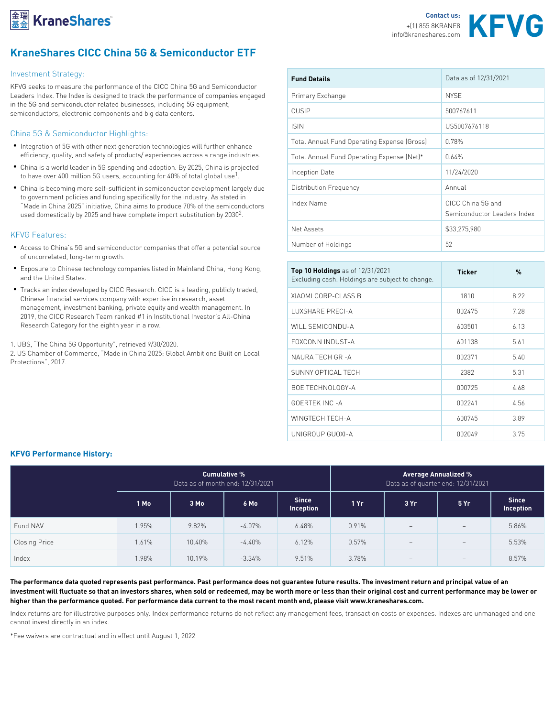

## KraneShares CICC China 5G & Semiconductor ETF

| Investment Strategy:                                                                                                                                                                                                                                          | Fund Details                   |                       | Data as of 12/31/2021 |  |  |
|---------------------------------------------------------------------------------------------------------------------------------------------------------------------------------------------------------------------------------------------------------------|--------------------------------|-----------------------|-----------------------|--|--|
| KFVG seeks to measure the performance of the CICC China ou and demnomentum<br>Leaders Index. The Index is designed to track the perform Benicmeany Examinamigues engaged                                                                                      |                                |                       |                       |  |  |
| in the 5G and semiconductor related businesses, including 5G equipment,                                                                                                                                                                                       |                                | NYSE                  |                       |  |  |
| semiconductors, electronic components and big data centecy SIP                                                                                                                                                                                                |                                | 500767611             |                       |  |  |
| China 5G & Semiconductor Highlights:                                                                                                                                                                                                                          | S N                            | US5007676118          |                       |  |  |
| • Integration of 5G with other next generation technolog Fotal Annual Fund Operating Expenss (Gross)                                                                                                                                                          |                                |                       |                       |  |  |
| efficiency, quality, and safety of products/experiences porgs & nn u&n greun had b pt is fing E x pen 4% (Net)*                                                                                                                                               |                                |                       |                       |  |  |
| • China is a world leader in 5G spending and adoption. By 2025, China is projected<br>to have over 400 million 5G users, accounting for 40% of coption bateuse                                                                                                |                                | 11/24/2020            |                       |  |  |
| . China is becoming more self–sufficient in semiconducto <sup>†</sup> rDd stweiboup ino en Frieqque hycydue                                                                                                                                                   |                                | Annual                |                       |  |  |
| to government policies and funding specifically for the industry. As stated in<br>Made in China 2025 initiative, China aims to produce 10% 86f 4 A B esemiconductors<br>used domestically by 2025 and have complete <sup>2</sup> .import substitution by 2030 | CICC China 5G and              |                       |                       |  |  |
|                                                                                                                                                                                                                                                               |                                | Semiconductor Leaders |                       |  |  |
| <b>KFVG Features:</b>                                                                                                                                                                                                                                         | Net Assets                     | \$33,275,980          |                       |  |  |
| • Access to China s 5G and semiconductor companies that Number of Holding Source<br>of uncorrelated, long-term growth.                                                                                                                                        | 52                             |                       |                       |  |  |
| • Exposure to Chinese technology companies listed in M& Top 10 Holadsnogfs 12/31/2021<br>and the United States.                                                                                                                                               | Excluding cash. Holdings are s | Ticker                | %                     |  |  |
| • Tracks an index developed by CICC Research. CICC is a leading, publicly traded,<br>Chinese financial services company with expertise in research, CSSEP-CLASS B                                                                                             |                                | 1810                  | 8.22                  |  |  |
| management, investment banking, private equity and wealth smanage preeft<br>2019, the CICC Research Team ranked #1 in Institutional Investor s All-China                                                                                                      |                                | 002475                | 7.28                  |  |  |
| Research Category for the eighth year in a row.                                                                                                                                                                                                               | WILL SEMICONDU-A               | 603501                | 6.13                  |  |  |
| 1. UBS, The China 5G Opportunity, retrieved 9/30/2020<br>2. US Chamber of Commerce, Made in China 2025: Globa hAmbiti 아울 Ruidhon Local<br>Protections, 2017.                                                                                                  | FOXCONN INDUST-A               | 601138                | 5.61                  |  |  |
|                                                                                                                                                                                                                                                               |                                | 002371                | 5.40                  |  |  |
|                                                                                                                                                                                                                                                               | SUNNY OPTICAL TECH             | 2382                  | 5.31                  |  |  |
|                                                                                                                                                                                                                                                               | <b>BOE TECHNOLOGY-A</b>        | 000725                | 4.68                  |  |  |
|                                                                                                                                                                                                                                                               | GOERTEK INC - A                | 002241                | 4.56                  |  |  |
|                                                                                                                                                                                                                                                               | WINGTECH TECH-A                | 600745                | 3.89                  |  |  |
|                                                                                                                                                                                                                                                               | UNIGROUP GUOXI-A               | 002049                | 3.75                  |  |  |

## KFVG Performance History:

|               | Cumulative %<br>Data as of month end: $12/31/202$ |          |          | Average Annualized %<br>Data as of quarter end: 12/31/20 |       |     |      |                   |
|---------------|---------------------------------------------------|----------|----------|----------------------------------------------------------|-------|-----|------|-------------------|
|               | $1$ Mo                                            | 3 Mo     | 6 Mo     | Since<br>Inceptiol                                       | 1 Yr  | 3Yr | 5 Yr | Since<br>Inceptio |
| Fund NAV      | 1.95%                                             | $9.82\%$ | $-4.07%$ | 6.48%                                                    | 0.91% |     |      | 5.86%             |
| Closing Price | 1.61%                                             | 10.40%   | $-4.40%$ | 6.12%                                                    | 0.57% |     |      | 5.53%             |
| Index         | 1.98%                                             | 10.19%   | $-3.34%$ | 9.51%                                                    | 3.78% |     |      | 8.57%             |

The performance data quoted represents past performance. Past performance does not guarantee future results. investment will fluctuate so that an investors shares, when sold or redeemed, may be worth more or less than th higher than the performance quoted. For performance data current to the most recent month end, please visit ww Index returns are for illustrative purposes only. Index performance returns do not reflect any management fees, cannot invest directly in an index.

\*Fee waivers are contractual and in effect until August 1, 2022